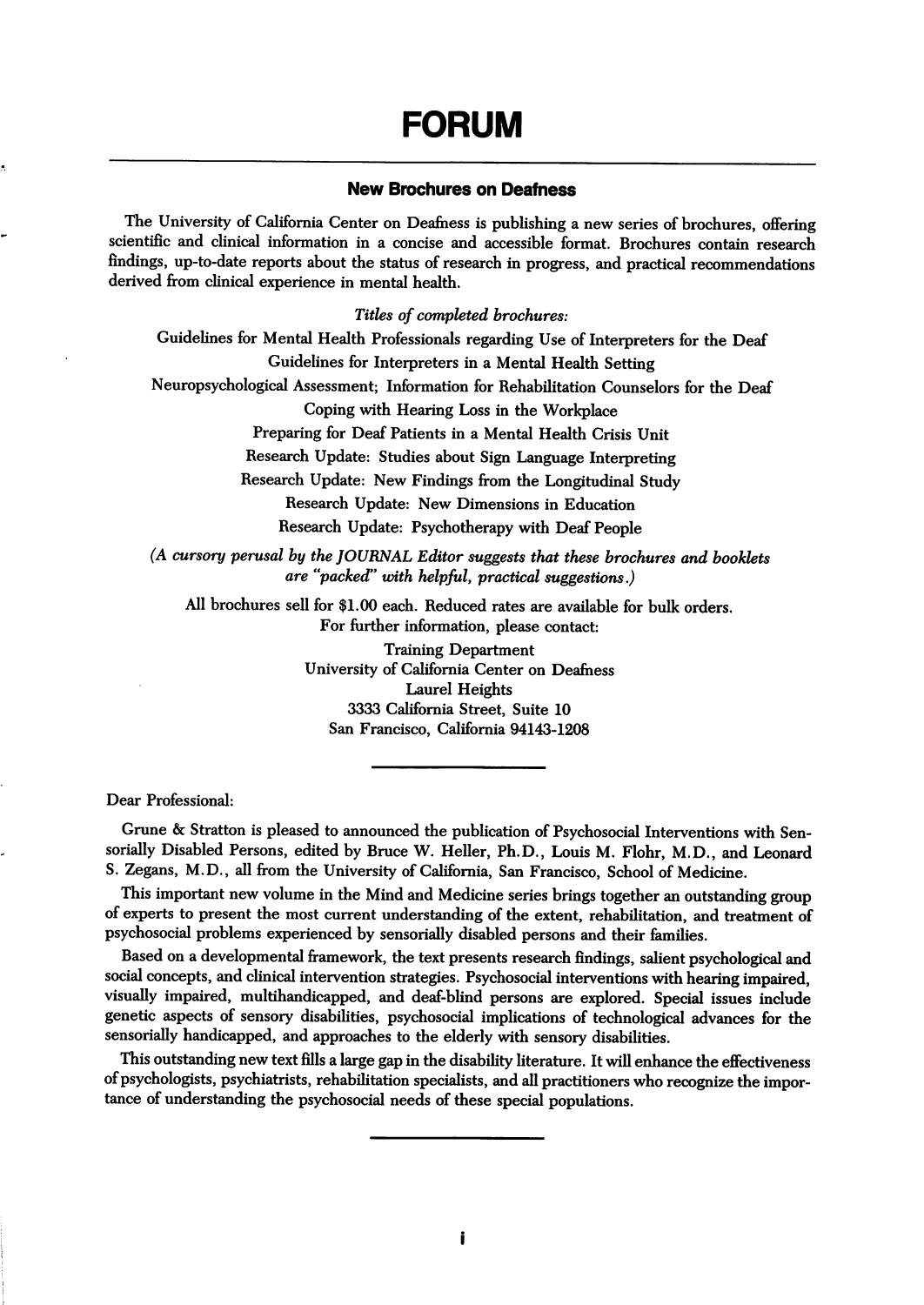# FORUM

# New Brochures on Deafness

The University of California Center on Deafness is publishing a new series of brochures, offering scientific and clinical information in a concise and accessible format. Brochures contain research findings, up-to-date reports about the status of research in progress, and practical recommendations derived from clinical experience in mental health.

Titles of completed brochures:

Guidelines for Mental Health Professionals regarding Use of Interpreters for the Deaf Guidelines for Interpreters in a Mental Health Setting

Neuropsychological Assessment; Information for Rehabilitation Counselors for the Deaf

Coping with Hearing Loss in the Workplace

Preparing for Deaf Patients in a Mental Health Crisis Unit

Research Update: Studies about Sign Language Interpreting

Research Update: New Findings from the Longitudinal Study

Research Update: New Dimensions in Education

Research Update: Psychotherapy with Deaf People

(A cursory perusal by the JOURNAL Editor suggests that these brochures and booklets are ''packed" with helpful, practical suggestions.)

All brochures sell for \$1.00 each. Reduced rates are available for bulk orders. For further information, please contact:

> Training Department University of California Center on Deafness Laurel Heights 3333 California Street, Suite 10 San Francisco, California 94143-1208

Dear Professional:

Grune & Stratton is pleased to announced the publication of Psychosocial Interventions with Sensorially Disabled Persons, edited by Bruce W. Heller, Ph.D., Louis M. Flohr, M.D., and Leonard S. Zegans, M.D., all from the University of California, San Francisco, School of Medicine.

This important new volume in the Mind and Medicine series brings together an outstanding group of experts to present the most current understanding of the extent, rehabilitation, and treatment of psychosocial problems experienced by sensorially disabled persons and their families.

Based on a developmental framework, the text presents research findings, salient psychological and social concepts, and clinical intervention strategies. Psychosocial interventions with hearing impaired, visually impaired, multihandicapped, and deaf-bhnd persons are explored. Special issues include genetic aspects of sensory disabilities, psychosocial implications of technological advances for the sensorially handicapped, and approaches to the elderly with sensory disabilities.

This outstanding new text fills a large gap in the disability literature. It will enhance the effectiveness of psychologists, psychiatrists, rehabilitation specialists, and all practitioners who recognize the impor tance of understanding the psychosocial needs of these special populations.